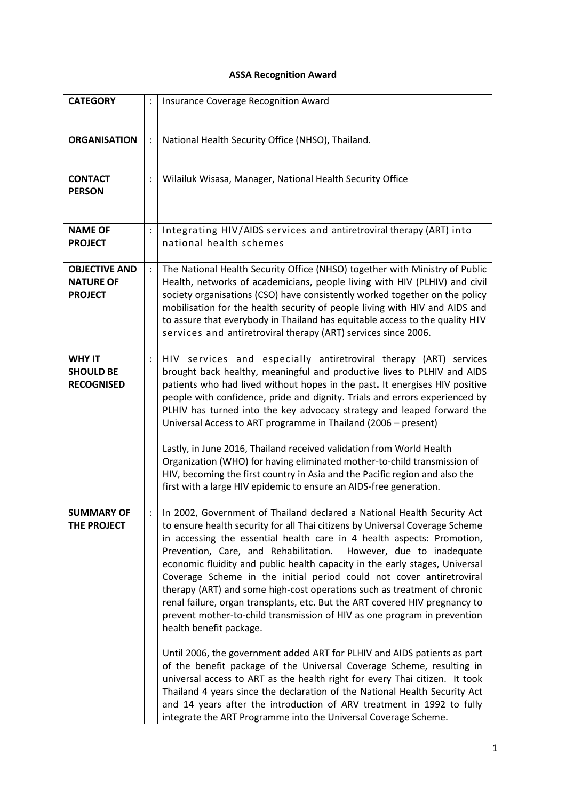## **ASSA Recognition Award**

| <b>CATEGORY</b>                                            |                | Insurance Coverage Recognition Award                                                                                                                                                                                                                                                                                                                                                                                                                                                                                                                                                                                                                                                                                                                                                                                                                                                                                                                                                                                                                                                                                                                                                            |
|------------------------------------------------------------|----------------|-------------------------------------------------------------------------------------------------------------------------------------------------------------------------------------------------------------------------------------------------------------------------------------------------------------------------------------------------------------------------------------------------------------------------------------------------------------------------------------------------------------------------------------------------------------------------------------------------------------------------------------------------------------------------------------------------------------------------------------------------------------------------------------------------------------------------------------------------------------------------------------------------------------------------------------------------------------------------------------------------------------------------------------------------------------------------------------------------------------------------------------------------------------------------------------------------|
| <b>ORGANISATION</b>                                        |                | National Health Security Office (NHSO), Thailand.                                                                                                                                                                                                                                                                                                                                                                                                                                                                                                                                                                                                                                                                                                                                                                                                                                                                                                                                                                                                                                                                                                                                               |
| <b>CONTACT</b><br><b>PERSON</b>                            | $\ddot{\cdot}$ | Wilailuk Wisasa, Manager, National Health Security Office                                                                                                                                                                                                                                                                                                                                                                                                                                                                                                                                                                                                                                                                                                                                                                                                                                                                                                                                                                                                                                                                                                                                       |
| <b>NAME OF</b><br><b>PROJECT</b>                           | $\vdots$       | Integrating HIV/AIDS services and antiretroviral therapy (ART) into<br>national health schemes                                                                                                                                                                                                                                                                                                                                                                                                                                                                                                                                                                                                                                                                                                                                                                                                                                                                                                                                                                                                                                                                                                  |
| <b>OBJECTIVE AND</b><br><b>NATURE OF</b><br><b>PROJECT</b> |                | The National Health Security Office (NHSO) together with Ministry of Public<br>Health, networks of academicians, people living with HIV (PLHIV) and civil<br>society organisations (CSO) have consistently worked together on the policy<br>mobilisation for the health security of people living with HIV and AIDS and<br>to assure that everybody in Thailand has equitable access to the quality HIV<br>services and antiretroviral therapy (ART) services since 2006.                                                                                                                                                                                                                                                                                                                                                                                                                                                                                                                                                                                                                                                                                                                       |
| <b>WHY IT</b><br><b>SHOULD BE</b><br><b>RECOGNISED</b>     | $\vdots$       | HIV services and especially antiretroviral therapy (ART) services<br>brought back healthy, meaningful and productive lives to PLHIV and AIDS<br>patients who had lived without hopes in the past. It energises HIV positive<br>people with confidence, pride and dignity. Trials and errors experienced by<br>PLHIV has turned into the key advocacy strategy and leaped forward the<br>Universal Access to ART programme in Thailand (2006 - present)<br>Lastly, in June 2016, Thailand received validation from World Health<br>Organization (WHO) for having eliminated mother-to-child transmission of<br>HIV, becoming the first country in Asia and the Pacific region and also the<br>first with a large HIV epidemic to ensure an AIDS-free generation.                                                                                                                                                                                                                                                                                                                                                                                                                                 |
| <b>SUMMARY OF</b><br>THE PROJECT                           |                | In 2002, Government of Thailand declared a National Health Security Act<br>to ensure health security for all Thai citizens by Universal Coverage Scheme<br>in accessing the essential health care in 4 health aspects: Promotion,<br>Prevention, Care, and Rehabilitation.<br>However, due to inadequate<br>economic fluidity and public health capacity in the early stages, Universal<br>Coverage Scheme in the initial period could not cover antiretroviral<br>therapy (ART) and some high-cost operations such as treatment of chronic<br>renal failure, organ transplants, etc. But the ART covered HIV pregnancy to<br>prevent mother-to-child transmission of HIV as one program in prevention<br>health benefit package.<br>Until 2006, the government added ART for PLHIV and AIDS patients as part<br>of the benefit package of the Universal Coverage Scheme, resulting in<br>universal access to ART as the health right for every Thai citizen. It took<br>Thailand 4 years since the declaration of the National Health Security Act<br>and 14 years after the introduction of ARV treatment in 1992 to fully<br>integrate the ART Programme into the Universal Coverage Scheme. |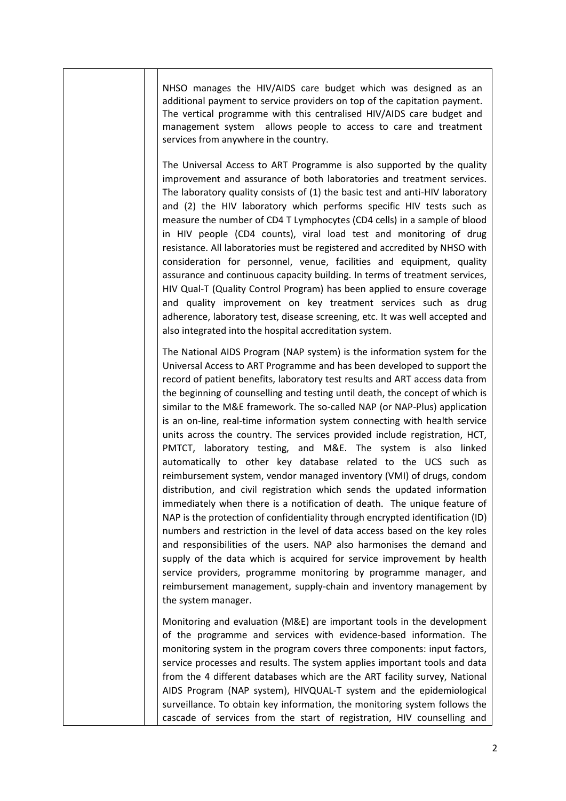| NHSO manages the HIV/AIDS care budget which was designed as an<br>additional payment to service providers on top of the capitation payment.<br>The vertical programme with this centralised HIV/AIDS care budget and<br>management system allows people to access to care and treatment<br>services from anywhere in the country.                                                                                                                                                                                                                                                                                                                                                                                                                                                                                                                                                                                                                                                                                                                                                                                                                                                                                                                                                                                                                                                                                      |
|------------------------------------------------------------------------------------------------------------------------------------------------------------------------------------------------------------------------------------------------------------------------------------------------------------------------------------------------------------------------------------------------------------------------------------------------------------------------------------------------------------------------------------------------------------------------------------------------------------------------------------------------------------------------------------------------------------------------------------------------------------------------------------------------------------------------------------------------------------------------------------------------------------------------------------------------------------------------------------------------------------------------------------------------------------------------------------------------------------------------------------------------------------------------------------------------------------------------------------------------------------------------------------------------------------------------------------------------------------------------------------------------------------------------|
| The Universal Access to ART Programme is also supported by the quality<br>improvement and assurance of both laboratories and treatment services.<br>The laboratory quality consists of (1) the basic test and anti-HIV laboratory<br>and (2) the HIV laboratory which performs specific HIV tests such as<br>measure the number of CD4 T Lymphocytes (CD4 cells) in a sample of blood<br>in HIV people (CD4 counts), viral load test and monitoring of drug<br>resistance. All laboratories must be registered and accredited by NHSO with<br>consideration for personnel, venue, facilities and equipment, quality<br>assurance and continuous capacity building. In terms of treatment services,<br>HIV Qual-T (Quality Control Program) has been applied to ensure coverage<br>and quality improvement on key treatment services such as drug<br>adherence, laboratory test, disease screening, etc. It was well accepted and<br>also integrated into the hospital accreditation system.                                                                                                                                                                                                                                                                                                                                                                                                                            |
| The National AIDS Program (NAP system) is the information system for the<br>Universal Access to ART Programme and has been developed to support the<br>record of patient benefits, laboratory test results and ART access data from<br>the beginning of counselling and testing until death, the concept of which is<br>similar to the M&E framework. The so-called NAP (or NAP-Plus) application<br>is an on-line, real-time information system connecting with health service<br>units across the country. The services provided include registration, HCT,<br>PMTCT, laboratory testing, and M&E. The system is also linked<br>automatically to other key database related to the UCS such as<br>reimbursement system, vendor managed inventory (VMI) of drugs, condom<br>distribution, and civil registration which sends the updated information<br>immediately when there is a notification of death. The unique feature of<br>NAP is the protection of confidentiality through encrypted identification (ID)<br>numbers and restriction in the level of data access based on the key roles<br>and responsibilities of the users. NAP also harmonises the demand and<br>supply of the data which is acquired for service improvement by health<br>service providers, programme monitoring by programme manager, and<br>reimbursement management, supply-chain and inventory management by<br>the system manager. |
| Monitoring and evaluation (M&E) are important tools in the development<br>of the programme and services with evidence-based information. The<br>monitoring system in the program covers three components: input factors,<br>service processes and results. The system applies important tools and data<br>from the 4 different databases which are the ART facility survey, National<br>AIDS Program (NAP system), HIVQUAL-T system and the epidemiological<br>surveillance. To obtain key information, the monitoring system follows the<br>cascade of services from the start of registration, HIV counselling and                                                                                                                                                                                                                                                                                                                                                                                                                                                                                                                                                                                                                                                                                                                                                                                                   |